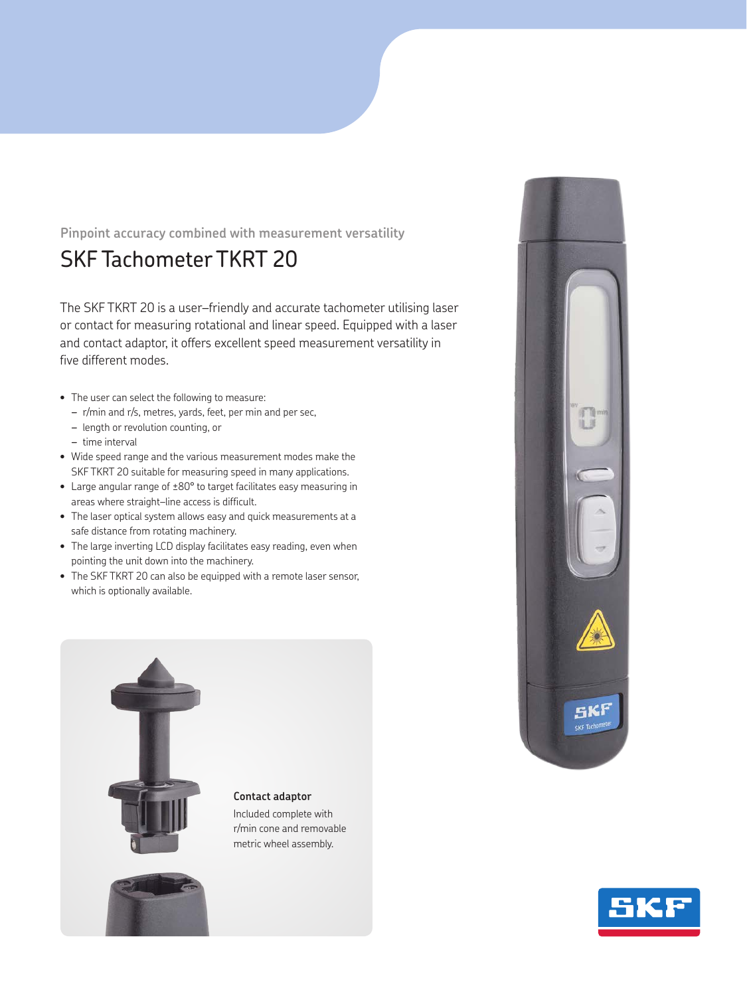## **Pinpoint accuracy combined with measurement versatility**

## SKF Tachometer TKRT 20

The SKF TKRT 20 is a user–friendly and accurate tachometer utilising laser or contact for measuring rotational and linear speed. Equipped with a laser and contact adaptor, it offers excellent speed measurement versatility in five different modes.

- The user can select the following to measure:
	- *–* r/min and r/s, metres, yards, feet, per min and per sec,
	- *–* length or revolution counting, or
	- *–* time interval
- Wide speed range and the various measurement modes make the SKF TKRT 20 suitable for measuring speed in many applications.
- Large angular range of ±80° to target facilitates easy measuring in areas where straight–line access is difficult.
- The laser optical system allows easy and quick measurements at a safe distance from rotating machinery.
- The large inverting LCD display facilitates easy reading, even when pointing the unit down into the machinery.
- The SKF TKRT 20 can also be equipped with a remote laser sensor, which is optionally available.